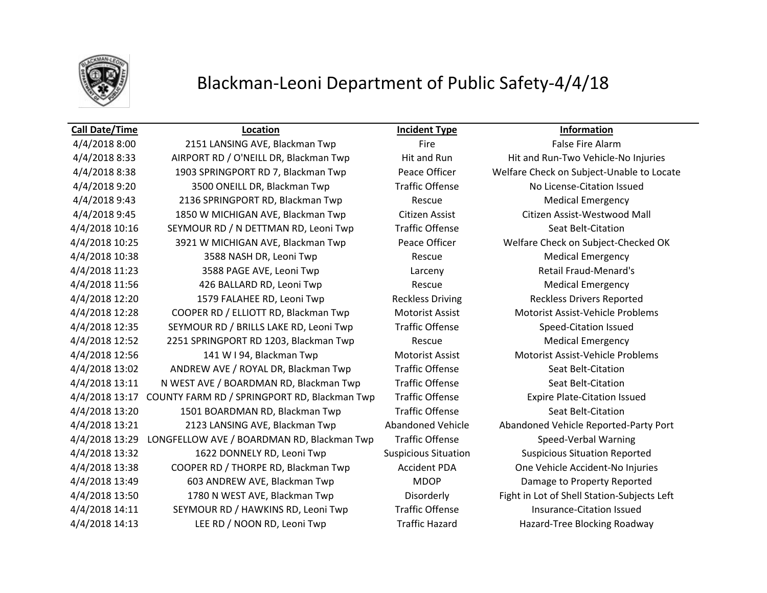

## Blackman-Leoni Department of Public Safety-4/4/18

**Call Date/Time Location Incident Type Information** 4/4/2018 8:00 2151 LANSING AVE, Blackman Twp Fire Fire Fire False Fire Alarm 4/4/2018 8:33 AIRPORT RD / O'NEILL DR, Blackman Twp Hit and Run Hit and Run-Two Vehicle-No Injuries 4/4/2018 8:38 1903 SPRINGPORT RD 7, Blackman Twp Peace Officer Welfare Check on Subject-Unable to Locate 4/4/2018 9:20 3500 ONEILL DR, Blackman Twp Traffic Offense No License-Citation Issued A/4/2018 9:43 2136 SPRINGPORT RD, Blackman Twp Rescue Rescue Medical Emergency 4/4/2018 9:45 1850 W MICHIGAN AVE, Blackman Twp Citizen Assist Citizen Assist-Westwood Mall 4/4/2018 10:16 SEYMOUR RD / N DETTMAN RD, Leoni Twp Traffic Offense Seat Belt-Citation 4/4/2018 10:25 3921 W MICHIGAN AVE, Blackman Twp Peace Officer Welfare Check on Subject-Checked OK A/4/2018 10:38 3588 NASH DR, Leoni Twp Rescue Rescue Medical Emergency 4/4/2018 11:23 3588 PAGE AVE, Leoni Twp Larceny Retail Fraud-Menard's 4/4/2018 11:56 426 BALLARD RD, Leoni Twp Rescue Medical Emergency 4/4/2018 12:20 1579 FALAHEE RD, Leoni Twp Reckless Driving Reckless Drivers Reported 4/4/2018 12:28 COOPER RD / ELLIOTT RD, Blackman Twp Motorist Assist Motorist Assist-Vehicle Problems 4/4/2018 12:35 SEYMOUR RD / BRILLS LAKE RD, Leoni Twp Traffic Offense Speed-Citation Issued 4/4/2018 12:52 2251 SPRINGPORT RD 1203, Blackman Twp Rescue Medical Emergency 4/4/2018 12:56 141 W I 94, Blackman Twp Motorist Assist Motorist Assist-Vehicle Problems 4/4/2018 13:02 ANDREW AVE / ROYAL DR, Blackman Twp Traffic Offense Seat Belt-Citation 4/4/2018 13:11 N WEST AVE / BOARDMAN RD, Blackman Twp Traffic Offense Seat Belt-Citation 4/4/2018 13:17 COUNTY FARM RD / SPRINGPORT RD, Blackman Twp Traffic Offense Expire Plate-Citation Issued 4/4/2018 13:20 1501 BOARDMAN RD, Blackman Twp Traffic Offense Seat Belt-Citation 4/4/2018 13:21 2123 LANSING AVE, Blackman Twp Abandoned Vehicle Abandoned Vehicle Reported-Party Port 4/4/2018 13:29 LONGFELLOW AVE / BOARDMAN RD, Blackman Twp Traffic Offense Speed-Verbal Warning 4/4/2018 13:32 1622 DONNELY RD, Leoni Twp Suspicious Situation Suspicious Situation Reported 4/4/2018 13:38 COOPER RD / THORPE RD, Blackman Twp Accident PDA One Vehicle Accident-No Injuries 4/4/2018 13:49 603 ANDREW AVE, Blackman Twp MDOP Damage to Property Reported 4/4/2018 13:50 1780 N WEST AVE, Blackman Twp Disorderly Fight in Lot of Shell Station-Subjects Left 4/4/2018 14:11 SEYMOUR RD / HAWKINS RD, Leoni Twp Traffic Offense Insurance-Citation Issued 4/4/2018 14:13 LEE RD / NOON RD, Leoni Twp Traffic Hazard Hazard-Tree Blocking Roadway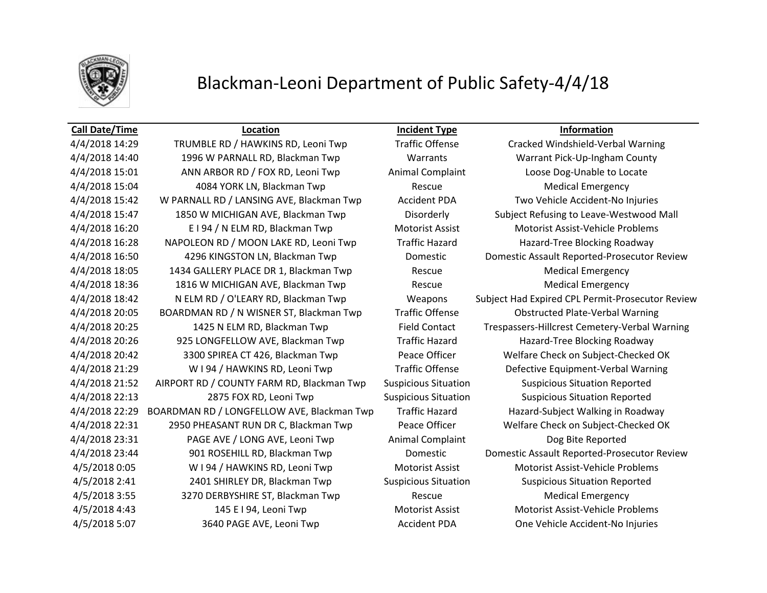

## Blackman-Leoni Department of Public Safety-4/4/18

## **Call Date/Time Location Incident Type Information**

4/4/2018 14:29 TRUMBLE RD / HAWKINS RD, Leoni Twp Traffic Offense Cracked Windshield-Verbal Warning 4/4/2018 14:40 1996 W PARNALL RD, Blackman Twp Warrants Warrant Pick-Up-Ingham County 4/4/2018 15:01 ANN ARBOR RD / FOX RD, Leoni Twp Animal Complaint Loose Dog-Unable to Locate 4/4/2018 15:04 4084 YORK LN, Blackman Twp Rescue Medical Emergency 4/4/2018 15:42 W PARNALL RD / LANSING AVE, Blackman Twp Accident PDA Two Vehicle Accident-No Injuries 4/4/2018 15:47 1850 W MICHIGAN AVE, Blackman Twp Disorderly Subject Refusing to Leave-Westwood Mall 4/4/2018 16:20 **E I 94 / N ELM RD, Blackman Twp** Motorist Assist Motorist Assist-Vehicle Problems 4/4/2018 16:28 NAPOLEON RD / MOON LAKE RD, Leoni Twp Traffic Hazard Hazard-Tree Blocking Roadway 4/4/2018 16:50 4296 KINGSTON LN, Blackman Twp Domestic Domestic Assault Reported-Prosecutor Review 4/4/2018 18:05 1434 GALLERY PLACE DR 1, Blackman Twp Rescue Medical Emergency 4/4/2018 18:36 1816 W MICHIGAN AVE, Blackman Twp Rescue Medical Emergency 4/4/2018 18:42 N ELM RD / O'LEARY RD, Blackman Twp Weapons Subject Had Expired CPL Permit-Prosecutor Review 4/4/2018 20:05 BOARDMAN RD / N WISNER ST, Blackman Twp Traffic Offense Obstructed Plate-Verbal Warning 4/4/2018 20:25 1425 N ELM RD, Blackman Twp Field Contact Trespassers-Hillcrest Cemetery-Verbal Warning 4/4/2018 20:26 925 LONGFELLOW AVE, Blackman Twp Traffic Hazard Hazard-Tree Blocking Roadway 4/4/2018 20:42 3300 SPIREA CT 426, Blackman Twp Peace Officer Welfare Check on Subject-Checked OK 4/4/2018 21:29 W I 94 / HAWKINS RD, Leoni Twp Traffic Offense Defective Equipment-Verbal Warning 4/4/2018 21:52 AIRPORT RD / COUNTY FARM RD, Blackman Twp Suspicious Situation Suspicious Situation Reported 4/4/2018 22:13 2875 FOX RD, Leoni Twp Suspicious Situation Suspicious Situation Reported 4/4/2018 22:29 BOARDMAN RD / LONGFELLOW AVE, Blackman Twp Traffic Hazard Hazard-Subject Walking in Roadway 4/4/2018 22:31 2950 PHEASANT RUN DR C, Blackman Twp Peace Officer Welfare Check on Subject-Checked OK 4/4/2018 23:31 PAGE AVE / LONG AVE, Leoni Twp Animal Complaint Dog Bite Reported 4/4/2018 23:44 901 ROSEHILL RD, Blackman Twp Domestic Domestic Assault Reported-Prosecutor Review 4/5/2018 0:05 W I 94 / HAWKINS RD, Leoni Twp Motorist Assist Motorist Assist-Vehicle Problems 4/5/2018 2:41 2401 SHIRLEY DR, Blackman Twp Suspicious Situation Suspicious Situation Reported A/5/2018 3:55 3270 DERBYSHIRE ST, Blackman Twp Rescue Rescue Medical Emergency 4/5/2018 4:43 145 E I 94, Leoni Twp Motorist Assist Motorist Assist-Vehicle Problems 4/5/2018 5:07 3640 PAGE AVE, Leoni Twp Accident PDA One Vehicle Accident-No Injuries